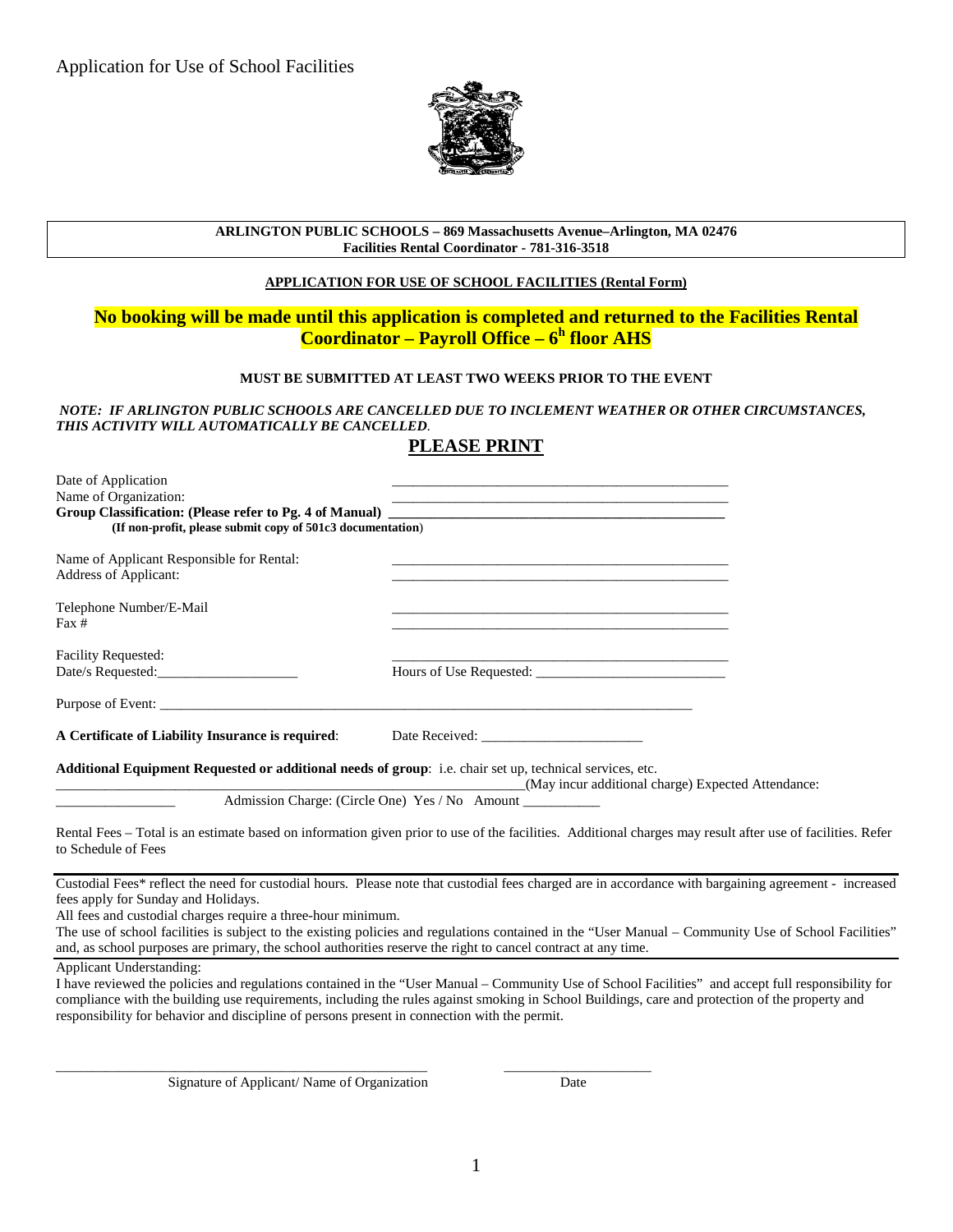

### **ARLINGTON PUBLIC SCHOOLS – 869 Massachusetts Avenue–Arlington, MA 02476 Facilities Rental Coordinator - 781-316-3518**

## **APPLICATION FOR USE OF SCHOOL FACILITIES (Rental Form)**

## **No booking will be made until this application is completed and returned to the Facilities Rental Coordinator – Payroll Office – 6h floor AHS**

## **MUST BE SUBMITTED AT LEAST TWO WEEKS PRIOR TO THE EVENT**

*NOTE: IF ARLINGTON PUBLIC SCHOOLS ARE CANCELLED DUE TO INCLEMENT WEATHER OR OTHER CIRCUMSTANCES, THIS ACTIVITY WILL AUTOMATICALLY BE CANCELLED*.

# **PLEASE PRINT**

| Date of Application                                                                                      |                                                                                                                                                            |
|----------------------------------------------------------------------------------------------------------|------------------------------------------------------------------------------------------------------------------------------------------------------------|
| Name of Organization:                                                                                    | <u> 1989 - Johann Stoff, amerikansk politiker (d. 1989)</u>                                                                                                |
| (If non-profit, please submit copy of 501c3 documentation)                                               |                                                                                                                                                            |
| Name of Applicant Responsible for Rental:<br>Address of Applicant:                                       | <u> 1989 - Jan James James James James James James James James James James James James James James James James J</u>                                       |
| Telephone Number/E-Mail<br>$\text{Fax} \#$                                                               |                                                                                                                                                            |
| <b>Facility Requested:</b>                                                                               |                                                                                                                                                            |
| Date/s Requested:                                                                                        |                                                                                                                                                            |
|                                                                                                          |                                                                                                                                                            |
| A Certificate of Liability Insurance is required:                                                        |                                                                                                                                                            |
| Additional Equipment Requested or additional needs of group: i.e. chair set up, technical services, etc. | (May incur additional charge) Expected Attendance:                                                                                                         |
|                                                                                                          | Admission Charge: (Circle One) Yes / No Amount __________                                                                                                  |
| to Schedule of Fees                                                                                      | Rental Fees - Total is an estimate based on information given prior to use of the facilities. Additional charges may result after use of facilities. Refer |
| fees apply for Sunday and Holidays.<br>All face and quatadial aboves require a three hour minimum        | Custodial Fees* reflect the need for custodial hours. Please note that custodial fees charged are in accordance with bargaining agreement - increased      |

All fees and custodial charges require a three-hour minimum.

The use of school facilities is subject to the existing policies and regulations contained in the "User Manual – Community Use of School Facilities" and, as school purposes are primary, the school authorities reserve the right to cancel contract at any time.

Applicant Understanding:

I have reviewed the policies and regulations contained in the "User Manual – Community Use of School Facilities" and accept full responsibility for compliance with the building use requirements, including the rules against smoking in School Buildings, care and protection of the property and responsibility for behavior and discipline of persons present in connection with the permit.

Signature of Applicant/ Name of Organization Date

\_\_\_\_\_\_\_\_\_\_\_\_\_\_\_\_\_\_\_\_\_\_\_\_\_\_\_\_\_\_\_\_\_\_\_\_\_\_\_\_\_\_\_\_\_\_\_\_\_\_\_\_\_ \_\_\_\_\_\_\_\_\_\_\_\_\_\_\_\_\_\_\_\_\_